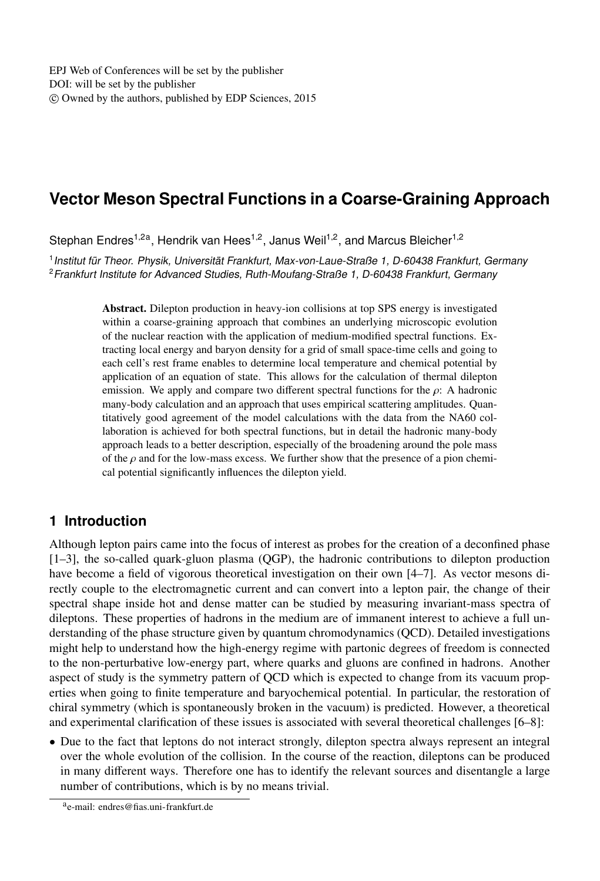# **Vector Meson Spectral Functions in a Coarse-Graining Approach**

Stephan Endres<sup>1,2a</sup>, Hendrik van Hees<sup>1,2</sup>, Janus Weil<sup>1,2</sup>, and Marcus Bleicher<sup>1,2</sup>

1 Institut für Theor. Physik, Universität Frankfurt, Max-von-Laue-Straße 1, D-60438 Frankfurt, Germany <sup>2</sup>Frankfurt Institute for Advanced Studies, Ruth-Moufang-Straße 1, D-60438 Frankfurt, Germany

> Abstract. Dilepton production in heavy-ion collisions at top SPS energy is investigated within a coarse-graining approach that combines an underlying microscopic evolution of the nuclear reaction with the application of medium-modified spectral functions. Extracting local energy and baryon density for a grid of small space-time cells and going to each cell's rest frame enables to determine local temperature and chemical potential by application of an equation of state. This allows for the calculation of thermal dilepton emission. We apply and compare two different spectral functions for the  $\rho$ : A hadronic many-body calculation and an approach that uses empirical scattering amplitudes. Quantitatively good agreement of the model calculations with the data from the NA60 collaboration is achieved for both spectral functions, but in detail the hadronic many-body approach leads to a better description, especially of the broadening around the pole mass of the  $\rho$  and for the low-mass excess. We further show that the presence of a pion chemical potential significantly influences the dilepton yield.

# **1 Introduction**

Although lepton pairs came into the focus of interest as probes for the creation of a deconfined phase [1–3], the so-called quark-gluon plasma (QGP), the hadronic contributions to dilepton production have become a field of vigorous theoretical investigation on their own [4–7]. As vector mesons directly couple to the electromagnetic current and can convert into a lepton pair, the change of their spectral shape inside hot and dense matter can be studied by measuring invariant-mass spectra of dileptons. These properties of hadrons in the medium are of immanent interest to achieve a full understanding of the phase structure given by quantum chromodynamics (QCD). Detailed investigations might help to understand how the high-energy regime with partonic degrees of freedom is connected to the non-perturbative low-energy part, where quarks and gluons are confined in hadrons. Another aspect of study is the symmetry pattern of QCD which is expected to change from its vacuum properties when going to finite temperature and baryochemical potential. In particular, the restoration of chiral symmetry (which is spontaneously broken in the vacuum) is predicted. However, a theoretical and experimental clarification of these issues is associated with several theoretical challenges [6–8]:

• Due to the fact that leptons do not interact strongly, dilepton spectra always represent an integral over the whole evolution of the collision. In the course of the reaction, dileptons can be produced in many different ways. Therefore one has to identify the relevant sources and disentangle a large number of contributions, which is by no means trivial.

a e-mail: endres@fias.uni-frankfurt.de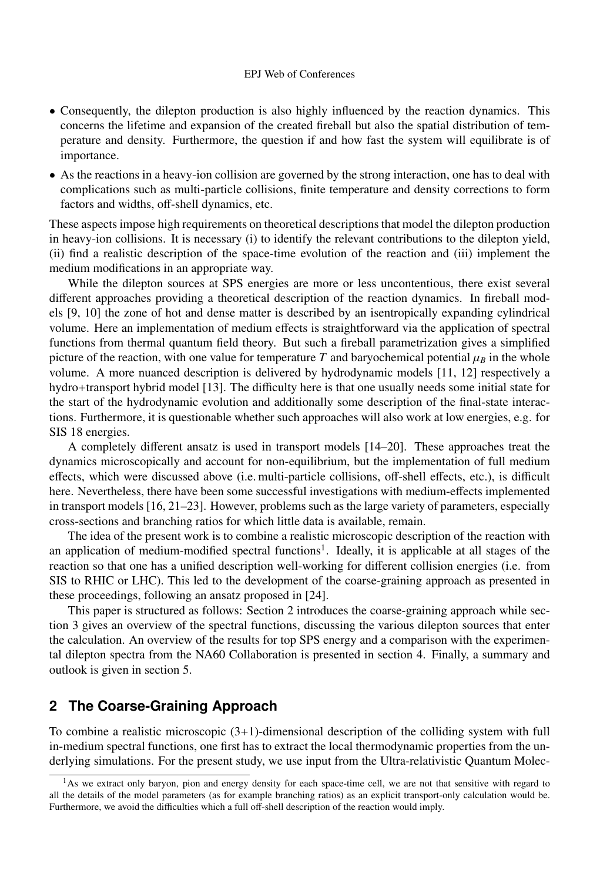#### EPJ Web of Conferences

- Consequently, the dilepton production is also highly influenced by the reaction dynamics. This concerns the lifetime and expansion of the created fireball but also the spatial distribution of temperature and density. Furthermore, the question if and how fast the system will equilibrate is of importance.
- As the reactions in a heavy-ion collision are governed by the strong interaction, one has to deal with complications such as multi-particle collisions, finite temperature and density corrections to form factors and widths, off-shell dynamics, etc.

These aspects impose high requirements on theoretical descriptions that model the dilepton production in heavy-ion collisions. It is necessary (i) to identify the relevant contributions to the dilepton yield, (ii) find a realistic description of the space-time evolution of the reaction and (iii) implement the medium modifications in an appropriate way.

While the dilepton sources at SPS energies are more or less uncontentious, there exist several different approaches providing a theoretical description of the reaction dynamics. In fireball models [9, 10] the zone of hot and dense matter is described by an isentropically expanding cylindrical volume. Here an implementation of medium effects is straightforward via the application of spectral functions from thermal quantum field theory. But such a fireball parametrization gives a simplified picture of the reaction, with one value for temperature *T* and baryochemical potential  $\mu_B$  in the whole volume. A more nuanced description is delivered by hydrodynamic models [11, 12] respectively a hydro+transport hybrid model [13]. The difficulty here is that one usually needs some initial state for the start of the hydrodynamic evolution and additionally some description of the final-state interactions. Furthermore, it is questionable whether such approaches will also work at low energies, e.g. for SIS 18 energies.

A completely different ansatz is used in transport models [14–20]. These approaches treat the dynamics microscopically and account for non-equilibrium, but the implementation of full medium effects, which were discussed above (i.e. multi-particle collisions, off-shell effects, etc.), is difficult here. Nevertheless, there have been some successful investigations with medium-effects implemented in transport models [16, 21–23]. However, problems such as the large variety of parameters, especially cross-sections and branching ratios for which little data is available, remain.

The idea of the present work is to combine a realistic microscopic description of the reaction with an application of medium-modified spectral functions<sup>1</sup>. Ideally, it is applicable at all stages of the reaction so that one has a unified description well-working for different collision energies (i.e. from SIS to RHIC or LHC). This led to the development of the coarse-graining approach as presented in these proceedings, following an ansatz proposed in [24].

This paper is structured as follows: Section 2 introduces the coarse-graining approach while section 3 gives an overview of the spectral functions, discussing the various dilepton sources that enter the calculation. An overview of the results for top SPS energy and a comparison with the experimental dilepton spectra from the NA60 Collaboration is presented in section 4. Finally, a summary and outlook is given in section 5.

# **2 The Coarse-Graining Approach**

To combine a realistic microscopic  $(3+1)$ -dimensional description of the colliding system with full in-medium spectral functions, one first has to extract the local thermodynamic properties from the underlying simulations. For the present study, we use input from the Ultra-relativistic Quantum Molec-

 $<sup>1</sup>$ As we extract only baryon, pion and energy density for each space-time cell, we are not that sensitive with regard to</sup> all the details of the model parameters (as for example branching ratios) as an explicit transport-only calculation would be. Furthermore, we avoid the difficulties which a full off-shell description of the reaction would imply.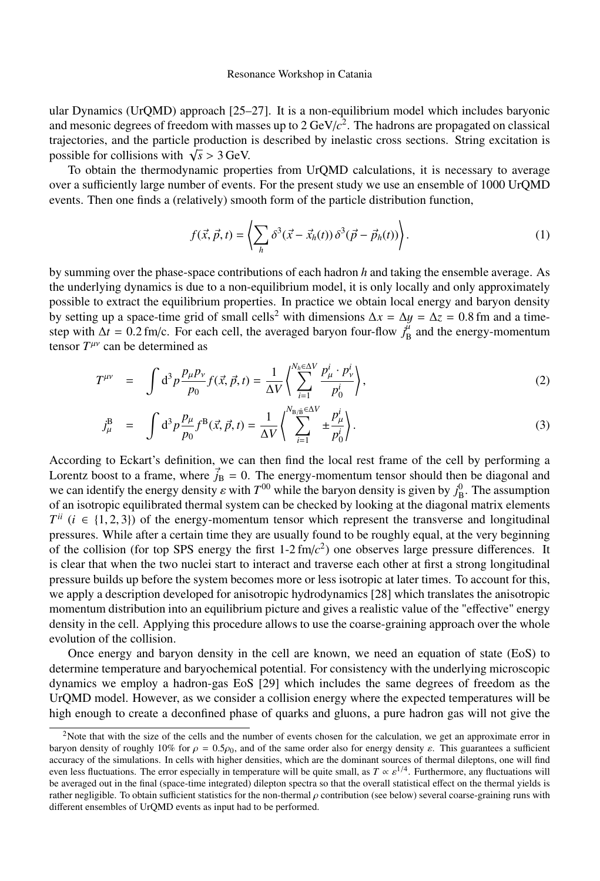ular Dynamics (UrQMD) approach [25–27]. It is a non-equilibrium model which includes baryonic and mesonic degrees of freedom with masses up to 2 GeV/*c* 2 . The hadrons are propagated on classical trajectories, and the particle production is described by inelastic cross sections. String excitation is possible for collisions with  $\sqrt{s} > 3$  GeV.<br><sup>To</sup> obtain the thermodynamic prope

To obtain the thermodynamic properties from UrQMD calculations, it is necessary to average over a sufficiently large number of events. For the present study we use an ensemble of 1000 UrQMD events. Then one finds a (relatively) smooth form of the particle distribution function,

$$
f(\vec{x}, \vec{p}, t) = \left\langle \sum_{h} \delta^3(\vec{x} - \vec{x}_h(t)) \delta^3(\vec{p} - \vec{p}_h(t)) \right\rangle.
$$
 (1)

by summing over the phase-space contributions of each hadron *h* and taking the ensemble average. As the underlying dynamics is due to a non-equilibrium model, it is only locally and only approximately possible to extract the equilibrium properties. In practice we obtain local energy and baryon density by setting up a space-time grid of small cells<sup>2</sup> with dimensions  $\Delta x = \Delta y = \Delta z = 0.8$  fm and a timestep with  $\Delta t = 0.2$  fm/c. For each cell, the averaged baryon four-flow  $j_B^{\mu}$  and the energy-momentum<br>tensor  $T^{\mu\nu}$  can be determined as tensor  $T^{\mu\nu}$  can be determined as

$$
T^{\mu\nu} = \int d^3 p \frac{p_\mu p_\nu}{p_0} f(\vec{x}, \vec{p}, t) = \frac{1}{\Delta V} \left\langle \sum_{i=1}^{N_h \in \Delta V} \frac{p_\mu^i \cdot p_\nu^i}{p_0^i} \right\rangle,
$$
 (2)

$$
j_{\mu}^{\mathcal{B}} = \int d^3 p \frac{p_{\mu}}{p_0} f^{\mathcal{B}}(\vec{x}, \vec{p}, t) = \frac{1}{\Delta V} \left( \sum_{i=1}^{N_{\mathcal{B}/\mathcal{B}} \in \Delta V} \pm \frac{p_{\mu}^{i}}{p_0^{i}} \right).
$$
 (3)

According to Eckart's definition, we can then find the local rest frame of the cell by performing a Lorentz boost to a frame, where  $j_B = 0$ . The energy-momentum tensor should then be diagonal and<br>use are identify the energy density a with  $T^{(0)}$  while the harves density is sixten by  $\hat{v}^{(0)}$ . The examplism we can identify the energy density  $\varepsilon$  with  $T^{00}$  while the baryon density is given by  $j_B^0$ . The assumption<br>of an isotropic equilibrated thermal system can be checked by looking at the diagonal matrix elements of an isotropic equilibrated thermal system can be checked by looking at the diagonal matrix elements  $T^{ii}$  ( $i \in \{1, 2, 3\}$ ) of the energy-momentum tensor which represent the transverse and longitudinal<br>pressures. While after a certain time they are usually found to be roughly equal, at the very beginning pressures. While after a certain time they are usually found to be roughly equal, at the very beginning of the collision (for top SPS energy the first  $1-2 \, \text{fm}/c^2$ ) one observes large pressure differences. It is clear that when the two nuclei start to interact and traverse each other at first a strong longitudinal pressure builds up before the system becomes more or less isotropic at later times. To account for this, we apply a description developed for anisotropic hydrodynamics [28] which translates the anisotropic momentum distribution into an equilibrium picture and gives a realistic value of the "effective" energy density in the cell. Applying this procedure allows to use the coarse-graining approach over the whole evolution of the collision.

Once energy and baryon density in the cell are known, we need an equation of state (EoS) to determine temperature and baryochemical potential. For consistency with the underlying microscopic dynamics we employ a hadron-gas EoS [29] which includes the same degrees of freedom as the UrQMD model. However, as we consider a collision energy where the expected temperatures will be high enough to create a deconfined phase of quarks and gluons, a pure hadron gas will not give the

<sup>&</sup>lt;sup>2</sup>Note that with the size of the cells and the number of events chosen for the calculation, we get an approximate error in baryon density of roughly 10% for  $\rho = 0.5\rho_0$ , and of the same order also for energy density  $\varepsilon$ . This guarantees a sufficient accuracy of the simulations. In cells with higher densities, which are the dominant sources of thermal dileptons, one will find even less fluctuations. The error especially in temperature will be quite small, as  $T \propto \varepsilon^{1/4}$ . Furthermore, any fluctuations will<br>be averaged out in the final (space-time integrated) dilenton spectra so that the ove be averaged out in the final (space-time integrated) dilepton spectra so that the overall statistical effect on the thermal yields is rather negligible. To obtain sufficient statistics for the non-thermal  $\rho$  contribution (see below) several coarse-graining runs with different ensembles of UrQMD events as input had to be performed.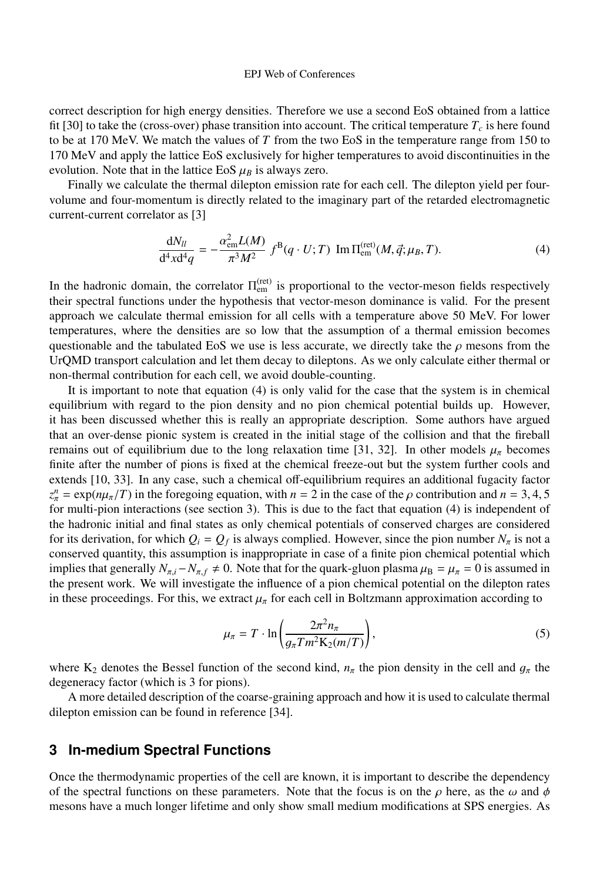#### EPJ Web of Conferences

correct description for high energy densities. Therefore we use a second EoS obtained from a lattice fit [30] to take the (cross-over) phase transition into account. The critical temperature  $T_c$  is here found to be at 170 MeV. We match the values of *T* from the two EoS in the temperature range from 150 to 170 MeV and apply the lattice EoS exclusively for higher temperatures to avoid discontinuities in the evolution. Note that in the lattice EoS  $\mu_B$  is always zero.

Finally we calculate the thermal dilepton emission rate for each cell. The dilepton yield per fourvolume and four-momentum is directly related to the imaginary part of the retarded electromagnetic current-current correlator as [3]

$$
\frac{dN_{ll}}{d^4x d^4q} = -\frac{\alpha_{\rm em}^2 L(M)}{\pi^3 M^2} f^B(q \cdot U; T) \text{ Im } \Pi_{\rm em}^{\rm (ret)}(M, \vec{q}; \mu_B, T). \tag{4}
$$

In the hadronic domain, the correlator  $\Pi_{em}^{(ret)}$  is proportional to the vector-meson fields respectively their spectral functions under the hypothesis that vector-meson dominance is valid. For the present approach we calculate thermal emission for all cells with a temperature above 50 MeV. For lower temperatures, where the densities are so low that the assumption of a thermal emission becomes questionable and the tabulated EoS we use is less accurate, we directly take the  $\rho$  mesons from the UrQMD transport calculation and let them decay to dileptons. As we only calculate either thermal or non-thermal contribution for each cell, we avoid double-counting.

It is important to note that equation (4) is only valid for the case that the system is in chemical equilibrium with regard to the pion density and no pion chemical potential builds up. However, it has been discussed whether this is really an appropriate description. Some authors have argued that an over-dense pionic system is created in the initial stage of the collision and that the fireball remains out of equilibrium due to the long relaxation time [31, 32]. In other models  $\mu_{\pi}$  becomes finite after the number of pions is fixed at the chemical freeze-out but the system further cools and extends [10, 33]. In any case, such a chemical off-equilibrium requires an additional fugacity factor  $z_n^n = \exp(n\mu_\pi/T)$  in the foregoing equation, with *n* = 2 in the case of the *ρ* contribution and *n* = 3, 4, 5 for multi-nion interactions (see section 3). This is due to the fact that equation (4) is independent of for multi-pion interactions (see section 3). This is due to the fact that equation (4) is independent of the hadronic initial and final states as only chemical potentials of conserved charges are considered for its derivation, for which  $Q_i = Q_f$  is always complied. However, since the pion number  $N_\pi$  is not a<br>conserved quantity this assumption is incorporated in seconds for the pion observed potential which conserved quantity, this assumption is inappropriate in case of a finite pion chemical potential which implies that generally  $N_{\pi,i} - N_{\pi,f} \neq 0$ . Note that for the quark-gluon plasma  $\mu_B = \mu_{\pi} = 0$  is assumed in the present work. We will investigate the influence of a pion chemical potential on the dilepton rates in these proceedings. For this, we extract  $\mu_{\pi}$  for each cell in Boltzmann approximation according to

$$
\mu_{\pi} = T \cdot \ln \left( \frac{2\pi^2 n_{\pi}}{g_{\pi} T m^2 \mathcal{K}_2(m/T)} \right),\tag{5}
$$

where K<sub>2</sub> denotes the Bessel function of the second kind,  $n_{\pi}$  the pion density in the cell and  $g_{\pi}$  the degeneracy factor (which is 3 for pions).

A more detailed description of the coarse-graining approach and how it is used to calculate thermal dilepton emission can be found in reference [34].

# **3 In-medium Spectral Functions**

Once the thermodynamic properties of the cell are known, it is important to describe the dependency of the spectral functions on these parameters. Note that the focus is on the  $\rho$  here, as the  $\omega$  and  $\phi$ mesons have a much longer lifetime and only show small medium modifications at SPS energies. As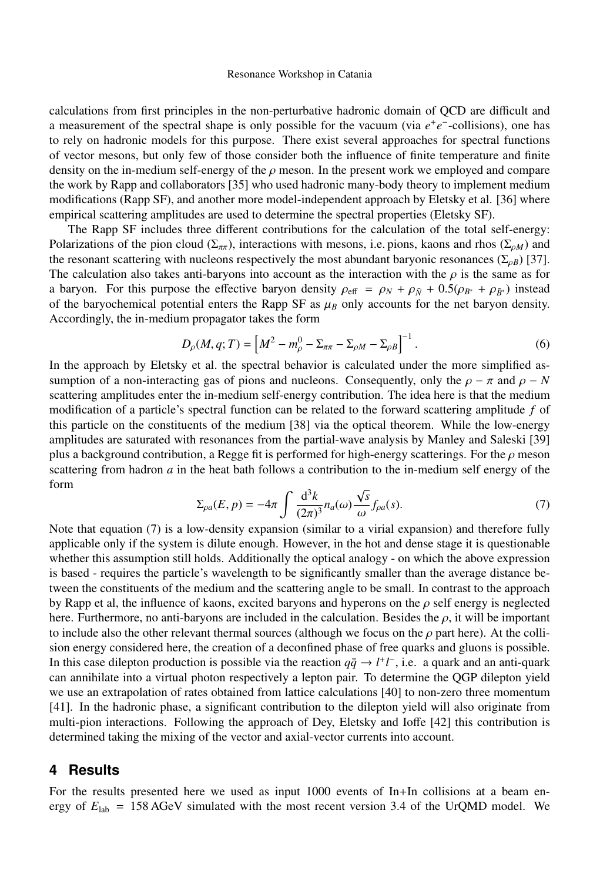#### Resonance Workshop in Catania

calculations from first principles in the non-perturbative hadronic domain of QCD are difficult and a measurement of the spectral shape is only possible for the vacuum (via  $e^+e^-$ -collisions), one has to rely on hadronic models for this purpose. There exist several approaches for spectral functions of vector mesons, but only few of those consider both the influence of finite temperature and finite density on the in-medium self-energy of the  $\rho$  meson. In the present work we employed and compare the work by Rapp and collaborators [35] who used hadronic many-body theory to implement medium modifications (Rapp SF), and another more model-independent approach by Eletsky et al. [36] where empirical scattering amplitudes are used to determine the spectral properties (Eletsky SF).

The Rapp SF includes three different contributions for the calculation of the total self-energy: Polarizations of the pion cloud ( $\Sigma_{\pi\pi}$ ), interactions with mesons, i.e. pions, kaons and rhos ( $\Sigma_{\rho M}$ ) and the resonant scattering with nucleons respectively the most abundant baryonic resonances ( $\Sigma_{\rho B}$ ) [37]. The calculation also takes anti-baryons into account as the interaction with the  $\rho$  is the same as for a baryon. For this purpose the effective baryon density  $\rho_{\text{eff}} = \rho_N + \rho_{\bar{N}} + 0.5(\rho_{B^*} + \rho_{\bar{B}^*})$  instead of the baryochemical potential enters the Rapp SF as  $\mu_B$  only accounts for the net baryon density. Accordingly, the in-medium propagator takes the form

$$
D_{\rho}(M, q; T) = \left[M^2 - m_{\rho}^0 - \Sigma_{\pi\pi} - \Sigma_{\rho M} - \Sigma_{\rho B}\right]^{-1}.
$$
 (6)

In the approach by Eletsky et al. the spectral behavior is calculated under the more simplified assumption of a non-interacting gas of pions and nucleons. Consequently, only the  $\rho - \pi$  and  $\rho - N$ scattering amplitudes enter the in-medium self-energy contribution. The idea here is that the medium modification of a particle's spectral function can be related to the forward scattering amplitude *f* of this particle on the constituents of the medium [38] via the optical theorem. While the low-energy amplitudes are saturated with resonances from the partial-wave analysis by Manley and Saleski [39] plus a background contribution, a Regge fit is performed for high-energy scatterings. For the  $\rho$  meson scattering from hadron *a* in the heat bath follows a contribution to the in-medium self energy of the form √

$$
\Sigma_{\rho a}(E, p) = -4\pi \int \frac{\mathrm{d}^3 k}{(2\pi)^3} n_a(\omega) \frac{\sqrt{s}}{\omega} f_{\rho a}(s). \tag{7}
$$

Note that equation (7) is a low-density expansion (similar to a virial expansion) and therefore fully applicable only if the system is dilute enough. However, in the hot and dense stage it is questionable whether this assumption still holds. Additionally the optical analogy - on which the above expression is based - requires the particle's wavelength to be significantly smaller than the average distance between the constituents of the medium and the scattering angle to be small. In contrast to the approach by Rapp et al, the influence of kaons, excited baryons and hyperons on the  $\rho$  self energy is neglected here. Furthermore, no anti-baryons are included in the calculation. Besides the  $\rho$ , it will be important to include also the other relevant thermal sources (although we focus on the  $\rho$  part here). At the collision energy considered here, the creation of a deconfined phase of free quarks and gluons is possible. In this case dilepton production is possible via the reaction  $q\bar{q} \to l^+l^-$ , i.e. a quark and an anti-quark can annihilate into a virtual photon respectively a lepton pair. To determine the QGP dilepton yield we use an extrapolation of rates obtained from lattice calculations [40] to non-zero three momentum [41]. In the hadronic phase, a significant contribution to the dilepton yield will also originate from multi-pion interactions. Following the approach of Dey, Eletsky and Ioffe [42] this contribution is determined taking the mixing of the vector and axial-vector currents into account.

### **4 Results**

For the results presented here we used as input 1000 events of In+In collisions at a beam energy of  $E_{\text{lab}} = 158 \text{ AGeV}$  simulated with the most recent version 3.4 of the UrQMD model. We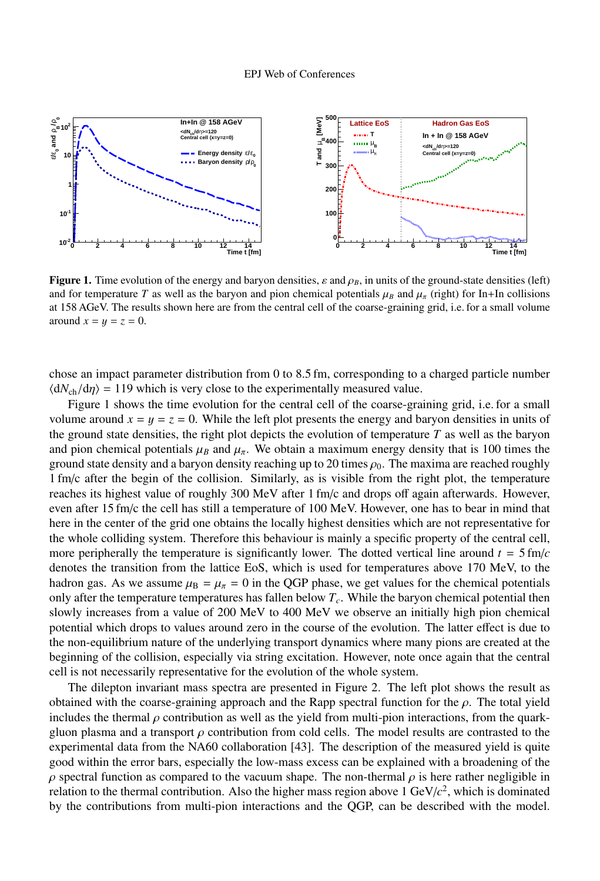

Figure 1. Time evolution of the energy and baryon densities,  $\varepsilon$  and  $\rho_B$ , in units of the ground-state densities (left) and for temperature *T* as well as the baryon and pion chemical potentials  $\mu_B$  and  $\mu_{\pi}$  (right) for In+In collisions at 158 AGeV. The results shown here are from the central cell of the coarse-graining grid, i.e. for a small volume around  $x = y = z = 0$ .

chose an impact parameter distribution from 0 to 8.5 fm, corresponding to a charged particle number  $\langle dN_{ch}/d\eta \rangle = 119$  which is very close to the experimentally measured value.

Figure 1 shows the time evolution for the central cell of the coarse-graining grid, i.e. for a small volume around  $x = y = z = 0$ . While the left plot presents the energy and baryon densities in units of the ground state densities, the right plot depicts the evolution of temperature  $T$  as well as the baryon and pion chemical potentials  $\mu_B$  and  $\mu_{\pi}$ . We obtain a maximum energy density that is 100 times the ground state density and a baryon density reaching up to 20 times  $\rho_0$ . The maxima are reached roughly 1 fm/c after the begin of the collision. Similarly, as is visible from the right plot, the temperature reaches its highest value of roughly 300 MeV after 1 fm/c and drops off again afterwards. However, even after 15 fm/c the cell has still a temperature of 100 MeV. However, one has to bear in mind that here in the center of the grid one obtains the locally highest densities which are not representative for the whole colliding system. Therefore this behaviour is mainly a specific property of the central cell, more peripherally the temperature is significantly lower. The dotted vertical line around  $t = 5$  fm/ $c$ denotes the transition from the lattice EoS, which is used for temperatures above 170 MeV, to the hadron gas. As we assume  $\mu_B = \mu_{\pi} = 0$  in the QGP phase, we get values for the chemical potentials only after the temperature temperatures has fallen below *Tc*. While the baryon chemical potential then slowly increases from a value of 200 MeV to 400 MeV we observe an initially high pion chemical potential which drops to values around zero in the course of the evolution. The latter effect is due to the non-equilibrium nature of the underlying transport dynamics where many pions are created at the beginning of the collision, especially via string excitation. However, note once again that the central cell is not necessarily representative for the evolution of the whole system.

The dilepton invariant mass spectra are presented in Figure 2. The left plot shows the result as obtained with the coarse-graining approach and the Rapp spectral function for the  $\rho$ . The total yield includes the thermal  $\rho$  contribution as well as the yield from multi-pion interactions, from the quarkgluon plasma and a transport  $\rho$  contribution from cold cells. The model results are contrasted to the experimental data from the NA60 collaboration [43]. The description of the measured yield is quite good within the error bars, especially the low-mass excess can be explained with a broadening of the  $ρ$  spectral function as compared to the vacuum shape. The non-thermal  $ρ$  is here rather negligible in relation to the thermal contribution. Also the higher mass region above 1 GeV/ $c^2$ , which is dominated by the contributions from multi-pion interactions and the QGP, can be described with the model.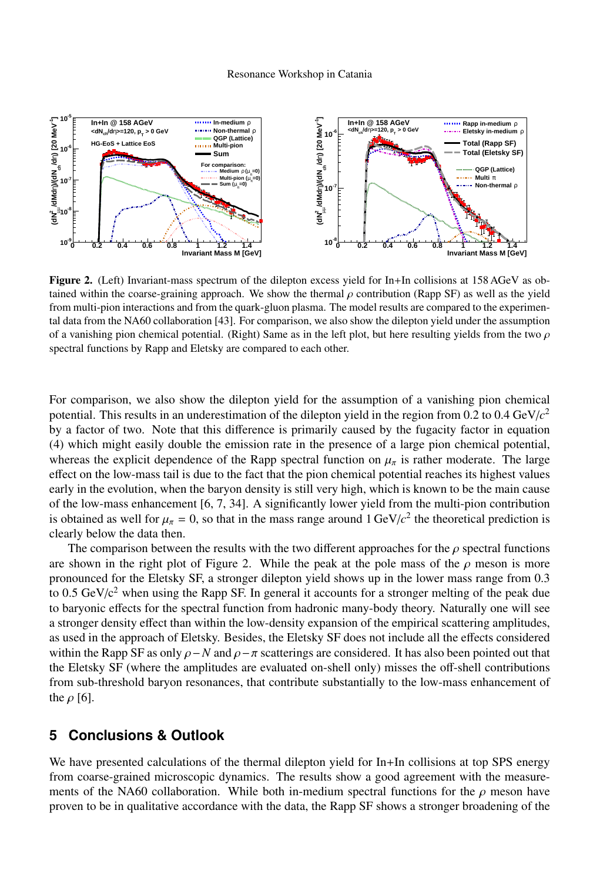

Figure 2. (Left) Invariant-mass spectrum of the dilepton excess yield for In+In collisions at 158 AGeV as obtained within the coarse-graining approach. We show the thermal  $\rho$  contribution (Rapp SF) as well as the yield from multi-pion interactions and from the quark-gluon plasma. The model results are compared to the experimental data from the NA60 collaboration [43]. For comparison, we also show the dilepton yield under the assumption of a vanishing pion chemical potential. (Right) Same as in the left plot, but here resulting yields from the two  $\rho$ spectral functions by Rapp and Eletsky are compared to each other.

For comparison, we also show the dilepton yield for the assumption of a vanishing pion chemical potential. This results in an underestimation of the dilepton yield in the region from 0.2 to 0.4 GeV/*c* 2 by a factor of two. Note that this difference is primarily caused by the fugacity factor in equation (4) which might easily double the emission rate in the presence of a large pion chemical potential, whereas the explicit dependence of the Rapp spectral function on  $\mu_{\pi}$  is rather moderate. The large effect on the low-mass tail is due to the fact that the pion chemical potential reaches its highest values early in the evolution, when the baryon density is still very high, which is known to be the main cause of the low-mass enhancement [6, 7, 34]. A significantly lower yield from the multi-pion contribution is obtained as well for  $\mu_{\pi} = 0$ , so that in the mass range around  $1 \text{ GeV}/c^2$  the theoretical prediction is clearly below the data then clearly below the data then.

The comparison between the results with the two different approaches for the  $\rho$  spectral functions are shown in the right plot of Figure 2. While the peak at the pole mass of the  $\rho$  meson is more pronounced for the Eletsky SF, a stronger dilepton yield shows up in the lower mass range from 0.3 to 0.5 GeV/ $c<sup>2</sup>$  when using the Rapp SF. In general it accounts for a stronger melting of the peak due to baryonic effects for the spectral function from hadronic many-body theory. Naturally one will see a stronger density effect than within the low-density expansion of the empirical scattering amplitudes, as used in the approach of Eletsky. Besides, the Eletsky SF does not include all the effects considered within the Rapp SF as only  $\rho$  – *N* and  $\rho$  –  $\pi$  scatterings are considered. It has also been pointed out that the Eletsky SF (where the amplitudes are evaluated on-shell only) misses the off-shell contributions from sub-threshold baryon resonances, that contribute substantially to the low-mass enhancement of the  $\rho$  [6].

# **5 Conclusions & Outlook**

We have presented calculations of the thermal dilepton yield for In+In collisions at top SPS energy from coarse-grained microscopic dynamics. The results show a good agreement with the measurements of the NA60 collaboration. While both in-medium spectral functions for the  $\rho$  meson have proven to be in qualitative accordance with the data, the Rapp SF shows a stronger broadening of the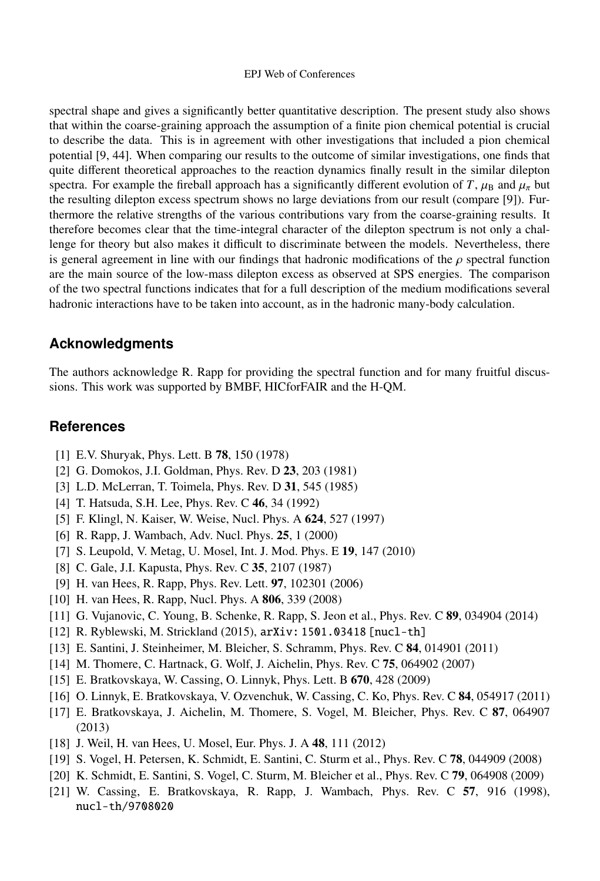#### EPJ Web of Conferences

spectral shape and gives a significantly better quantitative description. The present study also shows that within the coarse-graining approach the assumption of a finite pion chemical potential is crucial to describe the data. This is in agreement with other investigations that included a pion chemical potential [9, 44]. When comparing our results to the outcome of similar investigations, one finds that quite different theoretical approaches to the reaction dynamics finally result in the similar dilepton spectra. For example the fireball approach has a significantly different evolution of *T*,  $\mu_B$  and  $\mu_{\pi}$  but the resulting dilepton excess spectrum shows no large deviations from our result (compare [9]). Furthermore the relative strengths of the various contributions vary from the coarse-graining results. It therefore becomes clear that the time-integral character of the dilepton spectrum is not only a challenge for theory but also makes it difficult to discriminate between the models. Nevertheless, there is general agreement in line with our findings that hadronic modifications of the  $\rho$  spectral function are the main source of the low-mass dilepton excess as observed at SPS energies. The comparison of the two spectral functions indicates that for a full description of the medium modifications several hadronic interactions have to be taken into account, as in the hadronic many-body calculation.

### **Acknowledgments**

The authors acknowledge R. Rapp for providing the spectral function and for many fruitful discussions. This work was supported by BMBF, HICforFAIR and the H-QM.

# **References**

- [1] E.V. Shuryak, Phys. Lett. B 78, 150 (1978)
- [2] G. Domokos, J.I. Goldman, Phys. Rev. D 23, 203 (1981)
- [3] L.D. McLerran, T. Toimela, Phys. Rev. D 31, 545 (1985)
- [4] T. Hatsuda, S.H. Lee, Phys. Rev. C 46, 34 (1992)
- [5] F. Klingl, N. Kaiser, W. Weise, Nucl. Phys. A 624, 527 (1997)
- [6] R. Rapp, J. Wambach, Adv. Nucl. Phys. 25, 1 (2000)
- [7] S. Leupold, V. Metag, U. Mosel, Int. J. Mod. Phys. E 19, 147 (2010)
- [8] C. Gale, J.I. Kapusta, Phys. Rev. C 35, 2107 (1987)
- [9] H. van Hees, R. Rapp, Phys. Rev. Lett. 97, 102301 (2006)
- [10] H. van Hees, R. Rapp, Nucl. Phys. A 806, 339 (2008)
- [11] G. Vujanovic, C. Young, B. Schenke, R. Rapp, S. Jeon et al., Phys. Rev. C 89, 034904 (2014)
- [12] R. Ryblewski, M. Strickland (2015), arXiv: 1501.03418 [nucl-th]
- [13] E. Santini, J. Steinheimer, M. Bleicher, S. Schramm, Phys. Rev. C 84, 014901 (2011)
- [14] M. Thomere, C. Hartnack, G. Wolf, J. Aichelin, Phys. Rev. C 75, 064902 (2007)
- [15] E. Bratkovskaya, W. Cassing, O. Linnyk, Phys. Lett. B 670, 428 (2009)
- [16] O. Linnyk, E. Bratkovskaya, V. Ozvenchuk, W. Cassing, C. Ko, Phys. Rev. C 84, 054917 (2011)
- [17] E. Bratkovskaya, J. Aichelin, M. Thomere, S. Vogel, M. Bleicher, Phys. Rev. C 87, 064907 (2013)
- [18] J. Weil, H. van Hees, U. Mosel, Eur. Phys. J. A 48, 111 (2012)
- [19] S. Vogel, H. Petersen, K. Schmidt, E. Santini, C. Sturm et al., Phys. Rev. C 78, 044909 (2008)
- [20] K. Schmidt, E. Santini, S. Vogel, C. Sturm, M. Bleicher et al., Phys. Rev. C 79, 064908 (2009)
- [21] W. Cassing, E. Bratkovskaya, R. Rapp, J. Wambach, Phys. Rev. C 57, 916 (1998), nucl-th/9708020